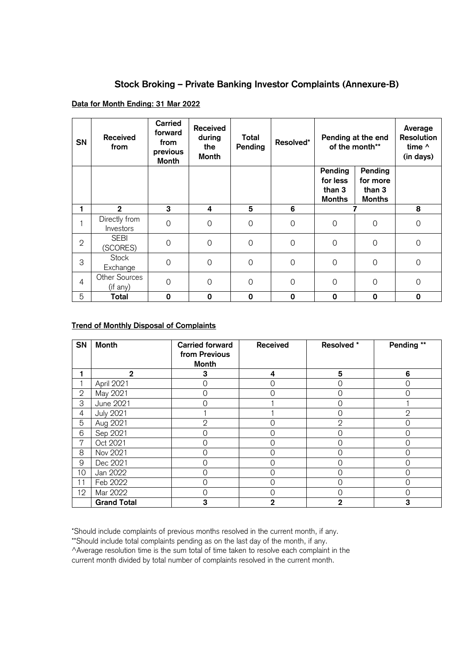## **Stock Broking – Private Banking Investor Complaints (Annexure-B)**

## **Data for Month Ending: 31 Mar 2022**

| <b>SN</b>    | <b>Received</b><br>from    | <b>Carried</b><br>forward<br>from<br>previous<br><b>Month</b> | <b>Received</b><br>during<br>the<br><b>Month</b> | Total<br>Pending | Resolved*   | Pending at the end<br>of the month** |                         | Average<br><b>Resolution</b><br>time ^<br>(in days) |
|--------------|----------------------------|---------------------------------------------------------------|--------------------------------------------------|------------------|-------------|--------------------------------------|-------------------------|-----------------------------------------------------|
|              |                            |                                                               |                                                  |                  |             | Pending<br>for less                  | Pending<br>for more     |                                                     |
|              |                            |                                                               |                                                  |                  |             | than 3<br><b>Months</b>              | than 3<br><b>Months</b> |                                                     |
|              | $\mathbf 2$                | 3                                                             | 4                                                | 5                | 6           |                                      |                         | 8                                                   |
|              | Directly from<br>Investors | 0                                                             | $\Omega$                                         | 0                | $\mathbf 0$ | $\Omega$                             | 0                       | $\mathbf 0$                                         |
| $\mathbf{2}$ | <b>SEBI</b><br>(SCORES)    | $\overline{0}$                                                | $\overline{0}$                                   | $\mathbf 0$      | $\mathsf O$ | $\Omega$                             | $\Omega$                | $\mathbf 0$                                         |
| 3            | <b>Stock</b><br>Exchange   | $\Omega$                                                      | $\Omega$                                         | $\mathbf 0$      | $\mathbf 0$ | $\Omega$                             | $\overline{0}$          | $\mathbf 0$                                         |
| 4            | Other Sources<br>(if any)  | 0                                                             | $\Omega$                                         | $\mathbf 0$      | $\mathbf 0$ | $\Omega$                             | $\overline{O}$          | $\mathbf 0$                                         |
| 5            | Total                      | $\mathbf 0$                                                   | 0                                                | 0                | 0           | $\mathbf 0$                          | 0                       | $\mathbf 0$                                         |

## **Trend of Monthly Disposal of Complaints**

| <b>SN</b>      | <b>Month</b>       | <b>Carried forward</b><br>from Previous<br><b>Month</b> | <b>Received</b> | Resolved *   | Pending **   |
|----------------|--------------------|---------------------------------------------------------|-----------------|--------------|--------------|
|                | $\mathbf{2}$       | 3                                                       | 4               | 5            | 6            |
|                | April 2021         | ∩                                                       | 0               | 0            | $\Omega$     |
| $\mathbf{2}$   | May 2021           | $\Omega$                                                | 0               | 0            | 0            |
| 3              | June 2021          |                                                         |                 | 0            |              |
| 4              | <b>July 2021</b>   |                                                         |                 | 0            | $\mathbf{2}$ |
| 5              | Aug 2021           | $\mathbf{2}$                                            | 0               | $\mathbf{2}$ | 0            |
| 6              | Sep 2021           | ∩                                                       | 0               | 0            | 0            |
| $\overline{7}$ | Oct 2021           | ∩                                                       | 0               | 0            | 0            |
| 8              | Nov 2021           | ∩                                                       | 0               | 0            | 0            |
| 9              | Dec 2021           |                                                         | 0               | 0            | $\Omega$     |
| 10             | Jan 2022           | $\Omega$                                                | 0               | 0            | 0            |
| 11             | Feb 2022           | ∩                                                       | 0               | 0            | 0            |
| 12             | Mar 2022           | ∩                                                       | 0               | Ω            | $\Omega$     |
|                | <b>Grand Total</b> | 3                                                       | $\overline{2}$  | 2            | 3            |

\*Should include complaints of previous months resolved in the current month, if any.

\*\*Should include total complaints pending as on the last day of the month, if any.

^Average resolution time is the sum total of time taken to resolve each complaint in the

current month divided by total number of complaints resolved in the current month.